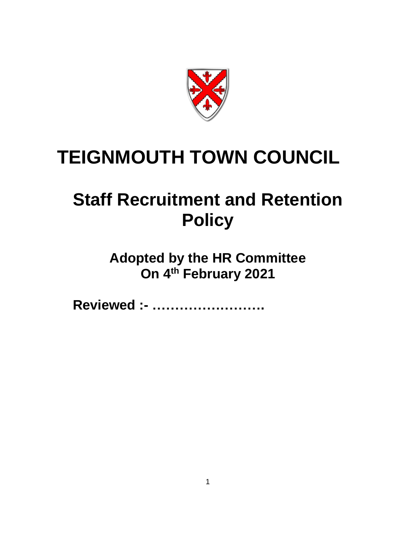

# **TEIGNMOUTH TOWN COUNCIL**

# **Staff Recruitment and Retention Policy**

**Adopted by the HR Committee On 4 th February 2021**

**Reviewed :- …………………….**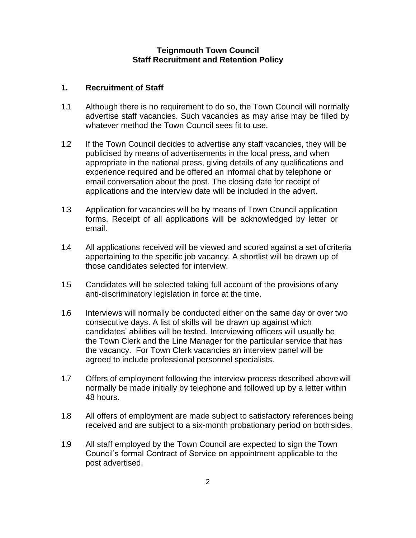## **Teignmouth Town Council Staff Recruitment and Retention Policy**

#### **1. Recruitment of Staff**

- 1.1 Although there is no requirement to do so, the Town Council will normally advertise staff vacancies. Such vacancies as may arise may be filled by whatever method the Town Council sees fit to use.
- 1.2 If the Town Council decides to advertise any staff vacancies, they will be publicised by means of advertisements in the local press, and when appropriate in the national press, giving details of any qualifications and experience required and be offered an informal chat by telephone or email conversation about the post. The closing date for receipt of applications and the interview date will be included in the advert.
- 1.3 Application for vacancies will be by means of Town Council application forms. Receipt of all applications will be acknowledged by letter or email.
- 1.4 All applications received will be viewed and scored against a set of criteria appertaining to the specific job vacancy. A shortlist will be drawn up of those candidates selected for interview.
- 1.5 Candidates will be selected taking full account of the provisions of any anti-discriminatory legislation in force at the time.
- 1.6 Interviews will normally be conducted either on the same day or over two consecutive days. A list of skills will be drawn up against which candidates' abilities will be tested. Interviewing officers will usually be the Town Clerk and the Line Manager for the particular service that has the vacancy. For Town Clerk vacancies an interview panel will be agreed to include professional personnel specialists.
- 1.7 Offers of employment following the interview process described above will normally be made initially by telephone and followed up by a letter within 48 hours.
- 1.8 All offers of employment are made subject to satisfactory references being received and are subject to a six-month probationary period on both sides.
- 1.9 All staff employed by the Town Council are expected to sign the Town Council's formal Contract of Service on appointment applicable to the post advertised.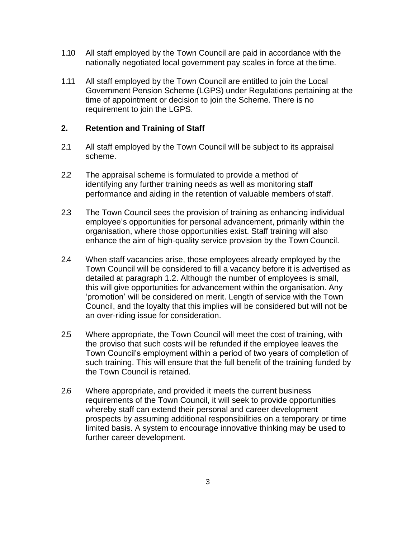- 1.10 All staff employed by the Town Council are paid in accordance with the nationally negotiated local government pay scales in force at the time.
- 1.11 All staff employed by the Town Council are entitled to join the Local Government Pension Scheme (LGPS) under Regulations pertaining at the time of appointment or decision to join the Scheme. There is no requirement to join the LGPS.

# **2. Retention and Training of Staff**

- 2.1 All staff employed by the Town Council will be subject to its appraisal scheme.
- 2.2 The appraisal scheme is formulated to provide a method of identifying any further training needs as well as monitoring staff performance and aiding in the retention of valuable members of staff.
- 2.3 The Town Council sees the provision of training as enhancing individual employee's opportunities for personal advancement, primarily within the organisation, where those opportunities exist. Staff training will also enhance the aim of high-quality service provision by the Town Council.
- 2.4 When staff vacancies arise, those employees already employed by the Town Council will be considered to fill a vacancy before it is advertised as detailed at paragraph 1.2. Although the number of employees is small, this will give opportunities for advancement within the organisation. Any 'promotion' will be considered on merit. Length of service with the Town Council, and the loyalty that this implies will be considered but will not be an over-riding issue for consideration.
- 2.5 Where appropriate, the Town Council will meet the cost of training, with the proviso that such costs will be refunded if the employee leaves the Town Council's employment within a period of two years of completion of such training. This will ensure that the full benefit of the training funded by the Town Council is retained.
- 2.6 Where appropriate, and provided it meets the current business requirements of the Town Council, it will seek to provide opportunities whereby staff can extend their personal and career development prospects by assuming additional responsibilities on a temporary or time limited basis. A system to encourage innovative thinking may be used to further career development.